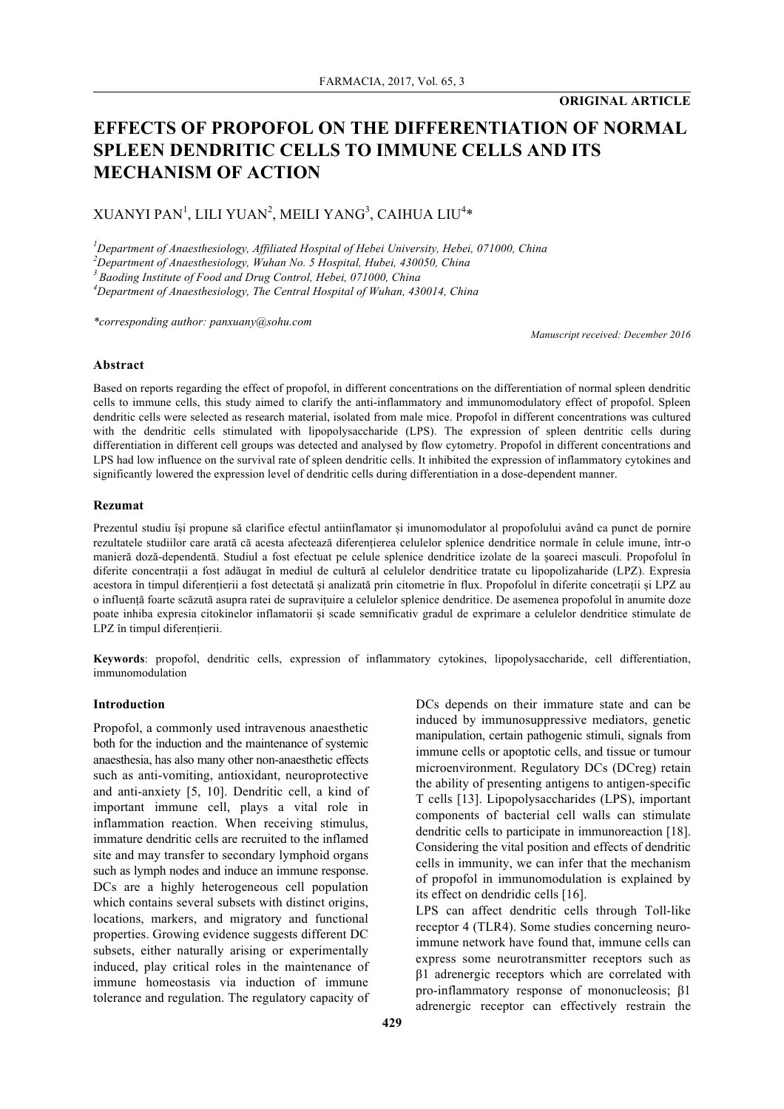## **ORIGINAL ARTICLE**

# **EFFECTS OF PROPOFOL ON THE DIFFERENTIATION OF NORMAL SPLEEN DENDRITIC CELLS TO IMMUNE CELLS AND ITS MECHANISM OF ACTION**

## $XUANYI$   $PAN<sup>1</sup>$ ,  $LILI$   $YUAN<sup>2</sup>$ ,  $MELI$   $YANG<sup>3</sup>$ ,  $CAIHUA$   $LIU<sup>4</sup>$

*1 Department of Anaesthesiology, Affiliated Hospital of Hebei University, Hebei, 071000, China*

*2 Department of Anaesthesiology, Wuhan No. 5 Hospital, Hubei, 430050, China*

*3 Baoding Institute of Food and Drug Control, Hebei, 071000, China*

*4 Department of Anaesthesiology, The Central Hospital of Wuhan, 430014, China*

*\*corresponding author: panxuany@sohu.com*

*Manuscript received: December 2016*

### **Abstract**

Based on reports regarding the effect of propofol, in different concentrations on the differentiation of normal spleen dendritic cells to immune cells, this study aimed to clarify the anti-inflammatory and immunomodulatory effect of propofol. Spleen dendritic cells were selected as research material, isolated from male mice. Propofol in different concentrations was cultured with the dendritic cells stimulated with lipopolysaccharide (LPS). The expression of spleen dentritic cells during differentiation in different cell groups was detected and analysed by flow cytometry. Propofol in different concentrations and LPS had low influence on the survival rate of spleen dendritic cells. It inhibited the expression of inflammatory cytokines and significantly lowered the expression level of dendritic cells during differentiation in a dose-dependent manner.

#### **Rezumat**

Prezentul studiu își propune să clarifice efectul antiinflamator și imunomodulator al propofolului având ca punct de pornire rezultatele studiilor care arată că acesta afectează diferențierea celulelor splenice dendritice normale în celule imune, într-o manieră doză-dependentă. Studiul a fost efectuat pe celule splenice dendritice izolate de la șoareci masculi. Propofolul în diferite concentrații a fost adăugat în mediul de cultură al celulelor dendritice tratate cu lipopolizaharide (LPZ). Expresia acestora în timpul diferențierii a fost detectată și analizată prin citometrie în flux. Propofolul în diferite concetrații și LPZ au o influență foarte scăzută asupra ratei de supravițuire a celulelor splenice dendritice. De asemenea propofolul în anumite doze poate inhiba expresia citokinelor inflamatorii și scade semnificativ gradul de exprimare a celulelor dendritice stimulate de LPZ în timpul diferențierii.

**Keywords**: propofol, dendritic cells, expression of inflammatory cytokines, lipopolysaccharide, cell differentiation, immunomodulation

## **Introduction**

Propofol, a commonly used intravenous anaesthetic both for the induction and the maintenance of systemic anaesthesia, has also many other non-anaesthetic effects such as anti-vomiting, antioxidant, neuroprotective and anti-anxiety [5, 10]. Dendritic cell, a kind of important immune cell, plays a vital role in inflammation reaction. When receiving stimulus, immature dendritic cells are recruited to the inflamed site and may transfer to secondary lymphoid organs such as lymph nodes and induce an immune response. DCs are a highly heterogeneous cell population which contains several subsets with distinct origins, locations, markers, and migratory and functional properties. Growing evidence suggests different DC subsets, either naturally arising or experimentally induced, play critical roles in the maintenance of immune homeostasis via induction of immune tolerance and regulation. The regulatory capacity of DCs depends on their immature state and can be induced by immunosuppressive mediators, genetic manipulation, certain pathogenic stimuli, signals from immune cells or apoptotic cells, and tissue or tumour microenvironment. Regulatory DCs (DCreg) retain the ability of presenting antigens to antigen-specific T cells [13]. Lipopolysaccharides (LPS), important components of bacterial cell walls can stimulate dendritic cells to participate in immunoreaction [18]. Considering the vital position and effects of dendritic cells in immunity, we can infer that the mechanism of propofol in immunomodulation is explained by its effect on dendridic cells [16].

LPS can affect dendritic cells through Toll-like receptor 4 (TLR4). Some studies concerning neuroimmune network have found that, immune cells can express some neurotransmitter receptors such as β1 adrenergic receptors which are correlated with pro-inflammatory response of mononucleosis; β1 adrenergic receptor can effectively restrain the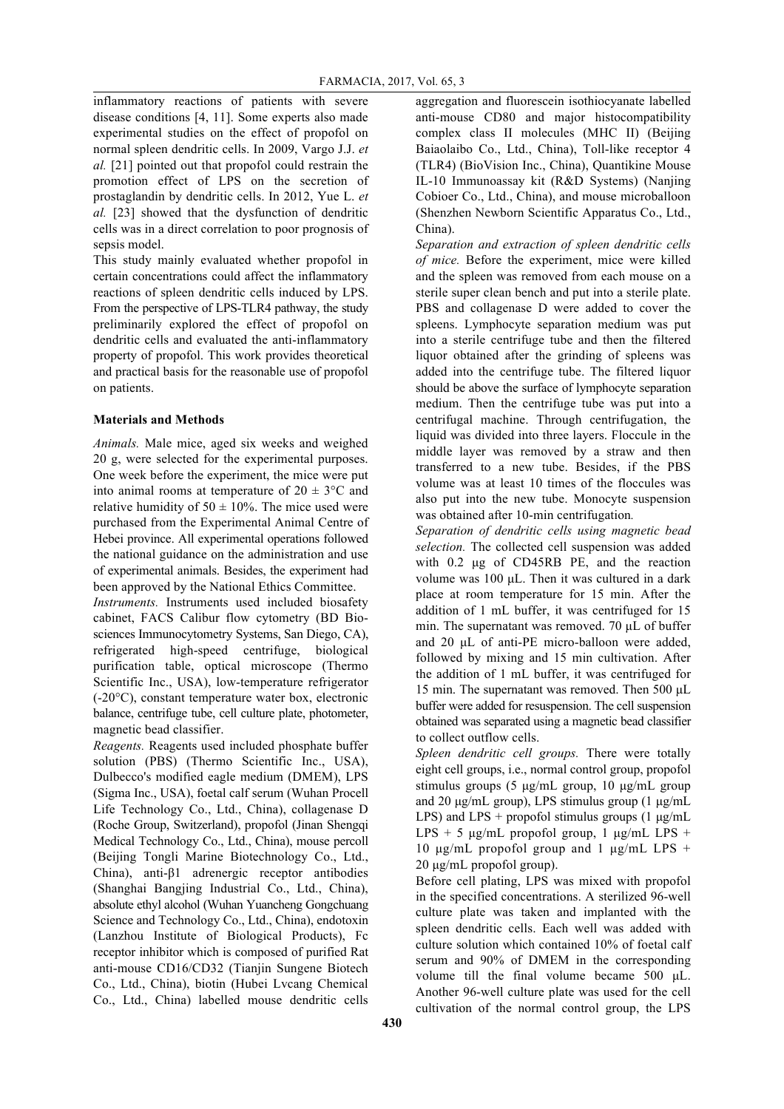inflammatory reactions of patients with severe disease conditions [4, 11]. Some experts also made experimental studies on the effect of propofol on normal spleen dendritic cells. In 2009, Vargo J.J. *et al.* [21] pointed out that propofol could restrain the promotion effect of LPS on the secretion of prostaglandin by dendritic cells. In 2012, Yue L. *et al.* [23] showed that the dysfunction of dendritic cells was in a direct correlation to poor prognosis of sepsis model.

This study mainly evaluated whether propofol in certain concentrations could affect the inflammatory reactions of spleen dendritic cells induced by LPS. From the perspective of LPS-TLR4 pathway, the study preliminarily explored the effect of propofol on dendritic cells and evaluated the anti-inflammatory property of propofol. This work provides theoretical and practical basis for the reasonable use of propofol on patients.

## **Materials and Methods**

*Animals.* Male mice, aged six weeks and weighed 20 g, were selected for the experimental purposes. One week before the experiment, the mice were put into animal rooms at temperature of  $20 \pm 3$ °C and relative humidity of  $50 \pm 10\%$ . The mice used were purchased from the Experimental Animal Centre of Hebei province. All experimental operations followed the national guidance on the administration and use of experimental animals. Besides, the experiment had been approved by the National Ethics Committee.

*Instruments.* Instruments used included biosafety cabinet, FACS Calibur flow cytometry (BD Biosciences Immunocytometry Systems, San Diego, CA), refrigerated high-speed centrifuge, biological purification table, optical microscope (Thermo Scientific Inc., USA), low-temperature refrigerator (-20°C), constant temperature water box, electronic balance, centrifuge tube, cell culture plate, photometer, magnetic bead classifier.

*Reagents.* Reagents used included phosphate buffer solution (PBS) (Thermo Scientific Inc., USA), Dulbecco's modified eagle medium (DMEM), LPS (Sigma Inc., USA), foetal calf serum (Wuhan Procell Life Technology Co., Ltd., China), collagenase D (Roche Group, Switzerland), propofol (Jinan Shengqi Medical Technology Co., Ltd., China), mouse percoll (Beijing Tongli Marine Biotechnology Co., Ltd., China), anti-β1 adrenergic receptor antibodies (Shanghai Bangjing Industrial Co., Ltd., China), absolute ethyl alcohol (Wuhan Yuancheng Gongchuang Science and Technology Co., Ltd., China), endotoxin (Lanzhou Institute of Biological Products), Fc receptor inhibitor which is composed of purified Rat anti-mouse CD16/CD32 (Tianjin Sungene Biotech Co., Ltd., China), biotin (Hubei Lvcang Chemical Co., Ltd., China) labelled mouse dendritic cells

aggregation and fluorescein isothiocyanate labelled anti-mouse CD80 and major histocompatibility complex class II molecules (MHC II) (Beijing Baiaolaibo Co., Ltd., China), Toll-like receptor 4 (TLR4) (BioVision Inc., China), Quantikine Mouse IL-10 Immunoassay kit (R&D Systems) (Nanjing Cobioer Co., Ltd., China), and mouse microballoon (Shenzhen Newborn Scientific Apparatus Co., Ltd., China).

*Separation and extraction of spleen dendritic cells of mice.* Before the experiment, mice were killed and the spleen was removed from each mouse on a sterile super clean bench and put into a sterile plate. PBS and collagenase D were added to cover the spleens. Lymphocyte separation medium was put into a sterile centrifuge tube and then the filtered liquor obtained after the grinding of spleens was added into the centrifuge tube. The filtered liquor should be above the surface of lymphocyte separation medium. Then the centrifuge tube was put into a centrifugal machine. Through centrifugation, the liquid was divided into three layers. Floccule in the middle layer was removed by a straw and then transferred to a new tube. Besides, if the PBS volume was at least 10 times of the floccules was also put into the new tube. Monocyte suspension was obtained after 10-min centrifugation*.*

*Separation of dendritic cells using magnetic bead selection.* The collected cell suspension was added with 0.2 µg of CD45RB PE, and the reaction volume was 100 µL. Then it was cultured in a dark place at room temperature for 15 min. After the addition of 1 mL buffer, it was centrifuged for 15 min. The supernatant was removed. 70 µL of buffer and 20 µL of anti-PE micro-balloon were added, followed by mixing and 15 min cultivation. After the addition of 1 mL buffer, it was centrifuged for 15 min. The supernatant was removed. Then 500 µL buffer were added for resuspension. The cell suspension obtained was separated using a magnetic bead classifier to collect outflow cells.

*Spleen dendritic cell groups.* There were totally eight cell groups, i.e., normal control group, propofol stimulus groups (5 µg/mL group, 10 µg/mL group and 20  $\mu$ g/mL group), LPS stimulus group (1  $\mu$ g/mL LPS) and LPS + propofol stimulus groups  $(1 \mu g/mL)$ LPS + 5  $\mu$ g/mL propofol group, 1  $\mu$ g/mL LPS + 10  $\mu$ g/mL propofol group and 1  $\mu$ g/mL LPS + 20 µg/mL propofol group).

Before cell plating, LPS was mixed with propofol in the specified concentrations. A sterilized 96-well culture plate was taken and implanted with the spleen dendritic cells. Each well was added with culture solution which contained 10% of foetal calf serum and 90% of DMEM in the corresponding volume till the final volume became 500 µL. Another 96-well culture plate was used for the cell cultivation of the normal control group, the LPS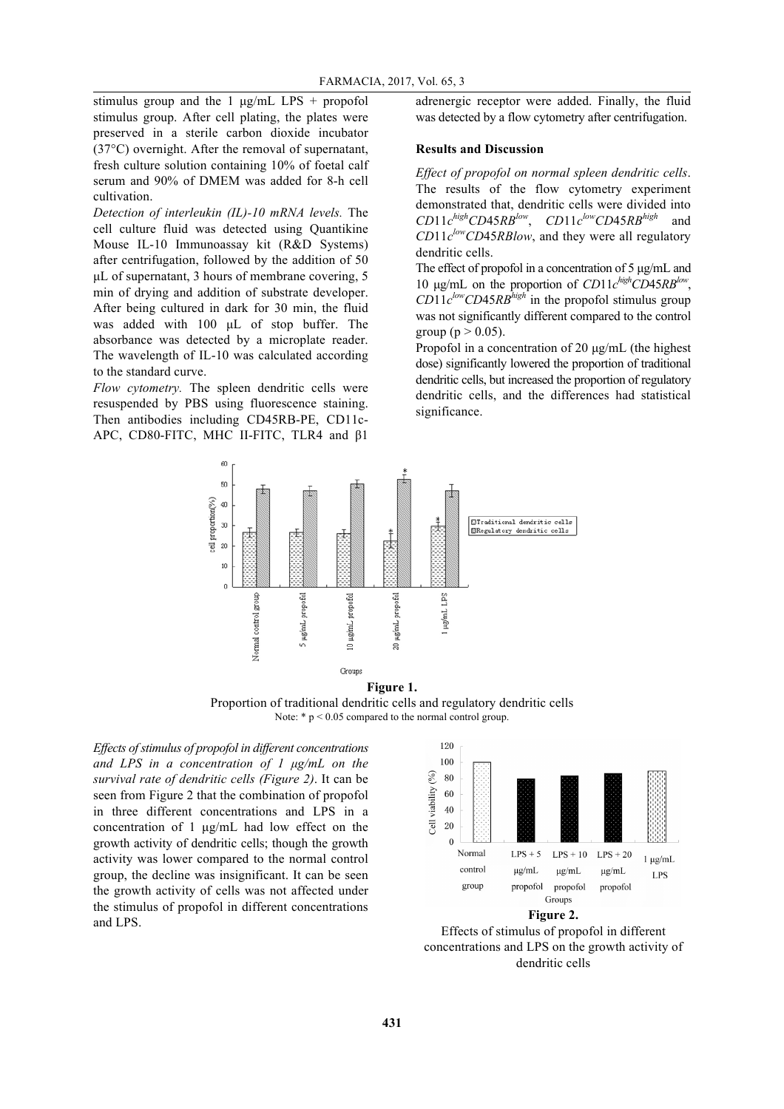stimulus group and the 1  $\mu$ g/mL LPS + propofol stimulus group. After cell plating, the plates were preserved in a sterile carbon dioxide incubator (37°C) overnight. After the removal of supernatant, fresh culture solution containing 10% of foetal calf serum and 90% of DMEM was added for 8-h cell cultivation.

*Detection of interleukin (IL)-10 mRNA levels.* The cell culture fluid was detected using Quantikine Mouse IL-10 Immunoassay kit (R&D Systems) after centrifugation, followed by the addition of 50 µL of supernatant, 3 hours of membrane covering, 5 min of drying and addition of substrate developer. After being cultured in dark for 30 min, the fluid was added with 100 µL of stop buffer. The absorbance was detected by a microplate reader. The wavelength of IL-10 was calculated according to the standard curve.

*Flow cytometry.* The spleen dendritic cells were resuspended by PBS using fluorescence staining. Then antibodies including CD45RB-PE, CD11c-APC, CD80-FITC, MHC II-FITC, TLR4 and β1

adrenergic receptor were added. Finally, the fluid was detected by a flow cytometry after centrifugation.

#### **Results and Discussion**

*Effect of propofol on normal spleen dendritic cells*. The results of the flow cytometry experiment demonstrated that, dendritic cells were divided into  $CD11c^{high}CD45RB^{low}$ ,  $CD11c^{low}CD45RB^{high}$  and  $CD11c^{low}CD45RBlow$ , and they were all regulatory dendritic cells.

The effect of propofol in a concentration of 5 µg/mL and 10 µg/mL on the proportion of *CD*11*c*<sup>high</sup>CD45*RB*<sup>low</sup>,  $CD11c^{low}CD45RB^{high}$  in the propofol stimulus group was not significantly different compared to the control group ( $p > 0.05$ ).

Propofol in a concentration of 20 µg/mL (the highest dose) significantly lowered the proportion of traditional dendritic cells, but increased the proportion of regulatory dendritic cells, and the differences had statistical significance.



Proportion of traditional dendritic cells and regulatory dendritic cells Note:  $* p \le 0.05$  compared to the normal control group.

*Effects of stimulus of propofol in different concentrations and LPS in a concentration of 1 µg/mL on the survival rate of dendritic cells (Figure 2)*. It can be seen from Figure 2 that the combination of propofol in three different concentrations and LPS in a concentration of 1 µg/mL had low effect on the growth activity of dendritic cells; though the growth activity was lower compared to the normal control group, the decline was insignificant. It can be seen the growth activity of cells was not affected under the stimulus of propofol in different concentrations **Figure 2.**<br>
and LPS.



Effects of stimulus of propofol in different concentrations and LPS on the growth activity of dendritic cells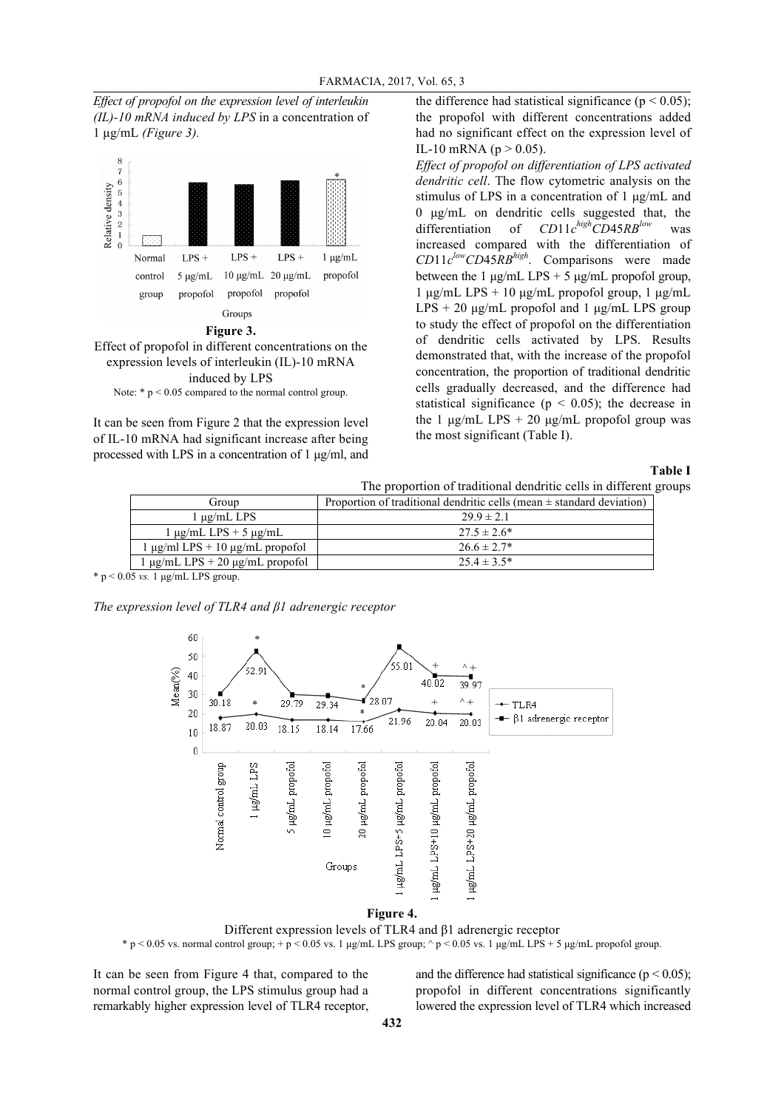*Effect of propofol on the expression level of interleukin (IL)-10 mRNA induced by LPS* in a concentration of 1 µg/mL *(Figure 3).* 



Effect of propofol in different concentrations on the expression levels of interleukin (IL)-10 mRNA induced by LPS Note:  $* p < 0.05$  compared to the normal control group.

It can be seen from Figure 2 that the expression level of IL-10 mRNA had significant increase after being processed with LPS in a concentration of 1 µg/ml, and

the difference had statistical significance ( $p < 0.05$ ); the propofol with different concentrations added had no significant effect on the expression level of IL-10 mRNA ( $p > 0.05$ ).

*Effect of propofol on differentiation of LPS activated dendritic cell*. The flow cytometric analysis on the stimulus of LPS in a concentration of 1 µg/mL and 0 µg/mL on dendritic cells suggested that, the differentiation of  $CD11c^{high}CD45RB^{low}$  was increased compared with the differentiation of  $CD11c^{low}CD45RB^{high}$ . *lowCD*45*RBhigh*. Comparisons were made between the 1  $\mu$ g/mL LPS + 5  $\mu$ g/mL propofol group, 1 µg/mL LPS + 10 µg/mL propofol group, 1 µg/mL  $LPS + 20 \mu g/mL$  propofol and 1  $\mu g/mL$  LPS group to study the effect of propofol on the differentiation of dendritic cells activated by LPS. Results demonstrated that, with the increase of the propofol concentration, the proportion of traditional dendritic cells gradually decreased, and the difference had statistical significance ( $p < 0.05$ ); the decrease in the 1  $\mu$ g/mL LPS + 20  $\mu$ g/mL propofol group was the most significant (Table I).

## **Table I**

|  |  |  |  | The proportion of traditional dendritic cells in different groups |  |  |  |  |
|--|--|--|--|-------------------------------------------------------------------|--|--|--|--|
|  |  |  |  |                                                                   |  |  |  |  |

| Group                                   | Proportion of traditional dendritic cells (mean $\pm$ standard deviation) |  |  |  |  |  |  |
|-----------------------------------------|---------------------------------------------------------------------------|--|--|--|--|--|--|
| $1 \mu$ g/mL LPS                        | $29.9 \pm 2.1$                                                            |  |  |  |  |  |  |
| $1 \mu$ g/mL LPS + 5 $\mu$ g/mL         | $27.5 \pm 2.6^*$                                                          |  |  |  |  |  |  |
| $1 \mu g/ml LPS + 10 \mu g/mL$ propofol | $26.6 \pm 2.7^*$                                                          |  |  |  |  |  |  |
| l μg/mL LPS + 20 μg/mL propofol         | $25.4 \pm 3.5^*$                                                          |  |  |  |  |  |  |

 $* p < 0.05$  *vs.* 1  $\mu$ g/mL LPS group.

*The expression level of TLR4 and β1 adrenergic receptor*







It can be seen from Figure 4 that, compared to the normal control group, the LPS stimulus group had a remarkably higher expression level of TLR4 receptor, and the difference had statistical significance ( $p < 0.05$ ); propofol in different concentrations significantly lowered the expression level of TLR4 which increased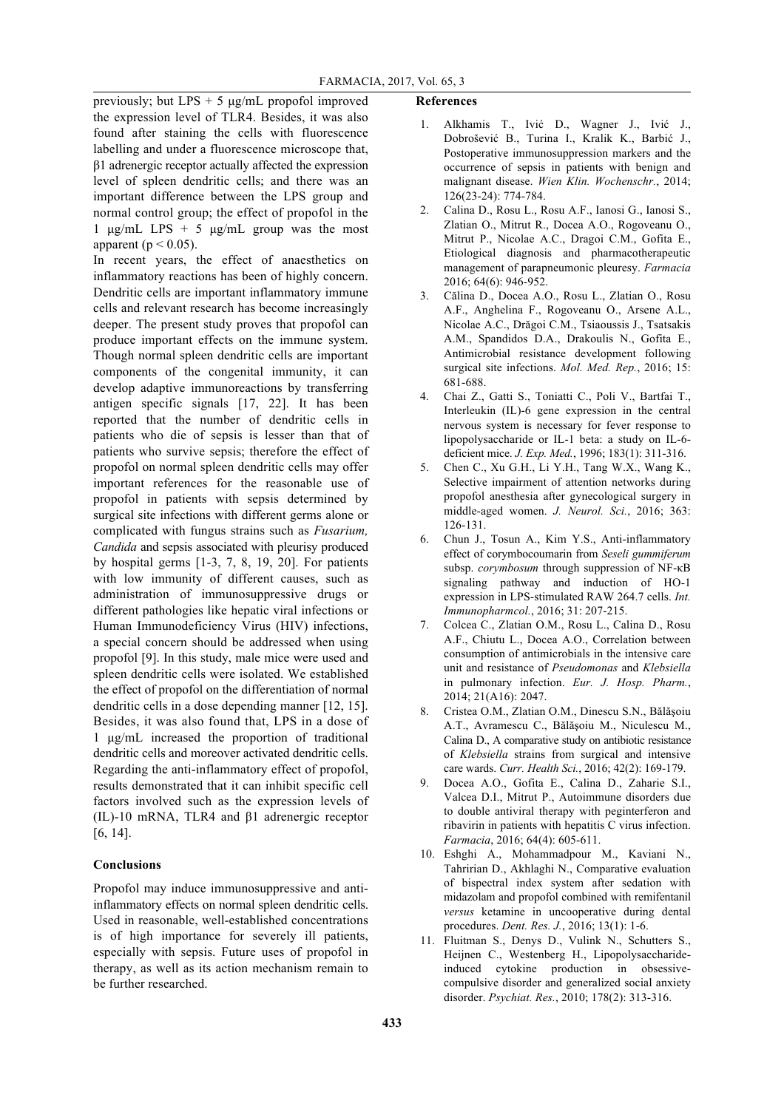previously; but LPS + 5 µg/mL propofol improved the expression level of TLR4. Besides, it was also found after staining the cells with fluorescence labelling and under a fluorescence microscope that, β1 adrenergic receptor actually affected the expression level of spleen dendritic cells; and there was an important difference between the LPS group and normal control group; the effect of propofol in the 1  $\mu$ g/mL LPS + 5  $\mu$ g/mL group was the most apparent ( $p < 0.05$ ).

In recent years, the effect of anaesthetics on inflammatory reactions has been of highly concern. Dendritic cells are important inflammatory immune cells and relevant research has become increasingly deeper. The present study proves that propofol can produce important effects on the immune system. Though normal spleen dendritic cells are important components of the congenital immunity, it can develop adaptive immunoreactions by transferring antigen specific signals [17, 22]. It has been reported that the number of dendritic cells in patients who die of sepsis is lesser than that of patients who survive sepsis; therefore the effect of propofol on normal spleen dendritic cells may offer important references for the reasonable use of propofol in patients with sepsis determined by surgical site infections with different germs alone or complicated with fungus strains such as *Fusarium, Candida* and sepsis associated with pleurisy produced by hospital germs [1-3, 7, 8, 19, 20]. For patients with low immunity of different causes, such as administration of immunosuppressive drugs or different pathologies like hepatic viral infections or Human Immunodeficiency Virus (HIV) infections, a special concern should be addressed when using propofol [9]. In this study, male mice were used and spleen dendritic cells were isolated. We established the effect of propofol on the differentiation of normal dendritic cells in a dose depending manner [12, 15]. Besides, it was also found that, LPS in a dose of 1 µg/mL increased the proportion of traditional dendritic cells and moreover activated dendritic cells. Regarding the anti-inflammatory effect of propofol, results demonstrated that it can inhibit specific cell factors involved such as the expression levels of (IL)-10 mRNA, TLR4 and β1 adrenergic receptor [6, 14].

## **Conclusions**

Propofol may induce immunosuppressive and antiinflammatory effects on normal spleen dendritic cells. Used in reasonable, well-established concentrations is of high importance for severely ill patients, especially with sepsis. Future uses of propofol in therapy, as well as its action mechanism remain to be further researched.

### **References**

- 1. Alkhamis T., Ivić D., Wagner J., Ivić J., Dobrošević B., Turina I., Kralik K., Barbić J., Postoperative immunosuppression markers and the occurrence of sepsis in patients with benign and malignant disease. *Wien Klin. Wochenschr.*, 2014; 126(23-24): 774-784.
- 2. Calina D., Rosu L., Rosu A.F., Ianosi G., Ianosi S., Zlatian O., Mitrut R., Docea A.O., Rogoveanu O., Mitrut P., Nicolae A.C., Dragoi C.M., Gofita E., Etiological diagnosis and pharmacotherapeutic management of parapneumonic pleuresy. *Farmacia* 2016; 64(6): 946-952.
- 3. Călina D., Docea A.O., Rosu L., Zlatian O., Rosu A.F., Anghelina F., Rogoveanu O., Arsene A.L., Nicolae A.C., Drăgoi C.M., Tsiaoussis J., Tsatsakis A.M., Spandidos D.A., Drakoulis N., Gofita E., Antimicrobial resistance development following surgical site infections. *Mol. Med. Rep.*, 2016; 15: 681-688.
- 4. Chai Z., Gatti S., Toniatti C., Poli V., Bartfai T., Interleukin (IL)-6 gene expression in the central nervous system is necessary for fever response to lipopolysaccharide or IL-1 beta: a study on IL-6 deficient mice. *J. Exp. Med.*, 1996; 183(1): 311-316.
- 5. Chen C., Xu G.H., Li Y.H., Tang W.X., Wang K., Selective impairment of attention networks during propofol anesthesia after gynecological surgery in middle-aged women. *J. Neurol. Sci.*, 2016; 363: 126-131.
- 6. Chun J., Tosun A., Kim Y.S., Anti-inflammatory effect of corymbocoumarin from *Seseli gummiferum* subsp. *corymbosum* through suppression of NF-κB signaling pathway and induction of HO-1 expression in LPS-stimulated RAW 264.7 cells. *Int. Immunopharmcol.*, 2016; 31: 207-215.
- 7. Colcea C., Zlatian O.M., Rosu L., Calina D., Rosu A.F., Chiutu L., Docea A.O., Correlation between consumption of antimicrobials in the intensive care unit and resistance of *Pseudomonas* and *Klebsiella* in pulmonary infection. *Eur. J. Hosp. Pharm.*, 2014; 21(A16): 2047.
- 8. Cristea O.M., Zlatian O.M., Dinescu S.N., Bălăşoiu A.T., Avramescu C., Bălăşoiu M., Niculescu M., Calina D., A comparative study on antibiotic resistance of *Klebsiella* strains from surgical and intensive care wards. *Curr. Health Sci.*, 2016; 42(2): 169-179.
- 9. Docea A.O., Gofita E., Calina D., Zaharie S.I., Valcea D.I., Mitrut P., Autoimmune disorders due to double antiviral therapy with peginterferon and ribavirin in patients with hepatitis C virus infection. *Farmacia*, 2016; 64(4): 605-611.
- 10. Eshghi A., Mohammadpour M., Kaviani N., Tahririan D., Akhlaghi N., Comparative evaluation of bispectral index system after sedation with midazolam and propofol combined with remifentanil *versus* ketamine in uncooperative during dental procedures. *Dent. Res. J.*, 2016; 13(1): 1-6.
- 11. Fluitman S., Denys D., Vulink N., Schutters S., Heijnen C., Westenberg H., Lipopolysaccharideinduced cytokine production in obsessivecompulsive disorder and generalized social anxiety disorder. *Psychiat. Res.*, 2010; 178(2): 313-316.